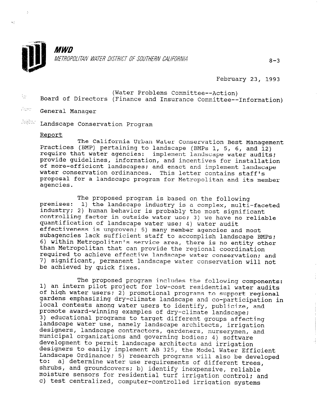

February 23, 1993

- ; .,. ., (Water Problems Committee--Action) Board of Directors (Finance and Insurance Committee--Information)
- $P_{\rm GNN}$  . General Manager

 $\mathbb{R}^{n_{\text{MSE}}}$  Landscape Conservation Program

#### Report

 $\sigma_{\rm c}$ 

The California Urban Water Conservation Best Management Practices (BMP) pertaining to landscape (BMPs 1, 5, 6, and 12) require that water agencies: implement landscape water audits; provide guidelines, information, and incentives for installation of more-efficient landscapes; and enact and implement landscap water conservation ordinances. This letter contains staff proposal for a landscape program for Metropolitan and its member agencies.

premises: The proposed program is based on the following industry; 2) human behavior is probably the most signifi-1) the landscape industry is a complex, multi-faceted controlling factor in outside water use; 3) we have no reliable quantification of landscape water use: 4) water audit effectiveness is unproven; 5) many member agencies and most subagencies lack sufficient staff to accomplish landscape BMPs; 6) within Metropolitan's service area, there is no entity other than Metropolitan that can provide the regional coordination required to achieve effective landscape water conservation; and 7) significant, permanent landscape water conservation will not be achieved by quick fixes.

The proposed program includes the following components: 1) an intern pilot project for low-cost residential water audits of high water users; 2) promotional programs to support regional gardens emphasizing dry-climate landscape and co-participation in local contests among water users to identify, publicize, and promote award-winning examples of dry-climate landscape: 3) educational programs to target different groups affecting s, saasasisnaf programs to carget ufficient groups affect randscape water ase, namery randscape architects, irrigation acorgners, randscape contractors, gardeners, nurserymen municipal organizations and governing bodies; 4) software development to permit landscape architects and irrigation designers to permic randscape aronicects and irrigation<br>designers to easily implement AB 325, the Model Water Effici webigners to easil<br>Landscape Ordinance  $\frac{1}{10}$ s) research programs will also be developed a) determine water use requirements of different trees, so. a) accertaine water use requirements of different transported to moisture sensors for residential turf irrigation control; and moisture sensors for residential turf irrigation control; and c) test centralized, computer-controlled irrigation systems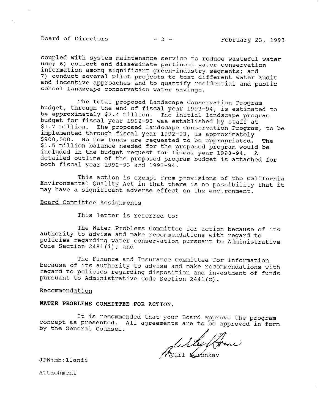Board of Directors  $-2$  - February 23, 1993

coupled with system maintenance service to reduce wasteful water use; 6) collect and disseminate pertinent water conservation information among significant green-industry segments; and 7) conduct several pilot projects to test different water audit and incentive approaches and to quantify residential and public school landscape conservation water savings.

budget, through the end of fiscal year 1993-94, is estimated to The total proposed Landscape Conservation Program be approximately \$2.4 million. The initial landscape program budget for fiscal year 1992-93 was established by staff at \$1.7 million. The proposed Landscape Conservation Program, to be implemented through fiscal year 1992-93, is approximately \$900,000. No new funds are requested to be appropriated. \$900,000. No new funds are requested to be appropriated. The<br>\$1.5 million balance needed for the proposed program would be included in the budget request for fiscal year 1993-94. A detailed outline of the proposed program budget is attached for both fiscal year 1992-93 and 1993-94.

This action is exempt from provisions of the California Environmental Quality Act in that there is no possibility that it may have a significant adverse effect on the environment.

#### Board Committee Assignments

This letter is referred to:

The Water Problems Committee for action because of its authority to advise and make recommendations with regard to policies regarding water conservation pursuant to Administrative Code Section 2481(i); and

The Finance and Insurance Committee for information because of its authority to advise and make recommendations with regard to policies regarding disposition and investment of funds pursuant to Administrative Code Section 2441(c).

### Recommendation

## WATER PROBLEMS COMMITTEE FOR ACTION.

It is recommended that your Board approve the program concept as presented. by the General Counsel. hadd that your board approve the program

Willy forme

JPW:mb:llanii

Attachment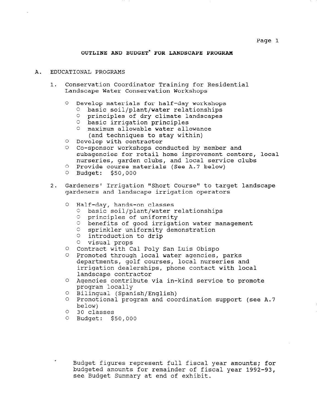# OUTLINE AND BUDGET\* FOR LANDSCAPE PROGRAM

### A. EDUCATIONAL PROGRAMS

- 1. Conservation Coordinator Training for Residential Landscape Water Conservation Workshops
	- O Develop materials for half-day workshops
		- <sup>0</sup>basic soil/plant/water relationships
		- 0 principles of dry climate landscapes
		- <sup>0</sup>basic irrigation principles
		- <sup>0</sup>maximum allowable water allowance (and techniques to stay within)
	- '0 Develop with contractor
	- '3 Co-sponsor workshops conducted by member and subagencies for retail home improvement centers, local nurseries, garden clubs, and local service clubs
	- '3 Provide course materials (See A.7 below)
	- <sup>0</sup>Budget: \$50,000
- 2. Gardeners' Irrigation "Short Course" to target landscape gardeners and landscape irrigation operators
	- $\cap$ Half-day, hands-on classes
		- Cl basic soil/plant/water relationships Cl pasic soff pranchwate
		-
		- % principles of unflormity<br>Combandits of good irrigation water management
		- C' sprinkler uniformity demonstration
		- $\circ$  introduction to drip
		- <sup>0</sup>visual props
	- 0 Contract with Cal Poly San Luis Obispo
	- 0 Promoted through local water agencies, parks departments, golf courses, local nurseries and irrigation dealerships, phone contact with local landscape contractor
	- Agencies contribute via in-kind service to promote program locally
	- Bilingual (Spanish/English)
	- 0 Promotional program and coordination support (see A.7 below)
	- 30 classes
	- Budget: \$50,000

 $\mathbf{B}$ udget figures represent full field  $\mathbf{B}$   $\mathbf{B}$   $\mathbf{C}$  and  $\mathbf{A}$   $\mathbf{C}$  and  $\mathbf{A}$   $\mathbf{C}$  and  $\mathbf{A}$   $\mathbf{C}$  and  $\mathbf{A}$   $\mathbf{C}$  and  $\mathbf{A}$   $\mathbf{C}$  and  $\mathbf{A}$   $\mathbf{C}$  and  $\mathbf{A}$   $\mathbf{C$ budget figures febresent full fiscal year amounts; f budgeted amounts for remainder of fiscal year 1992-93,<br>see Budget Summary at end of exhibit.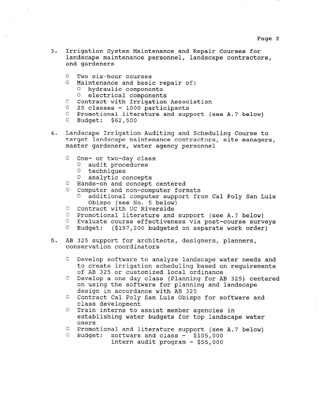- 3. Irrigation System Maintenance and Repair Courses for landscape maintenance personnel, landscape contractors, and gardeners
	- <sup>0</sup>Two six-hour courses
	- <sup>0</sup>Maintenance and basic repair of: <sup>0</sup>hydraulic components 0 electrical components
	- C Contract with Irrigation Association
	- c 25 classes 1000 participants
	-
	- c Promotional literature and support (see A.7 below)
	- c Budget: \$62,500
- 4. Landscape Irrigation Auditing and Scheduling Course to target landscape maintenance contractors, site managers, master gardeners, water agency personnel
	- C One- or two-day class
		- <sup>0</sup>audit procedures
		- 0 techniques
		- <sup>0</sup>analytic concepts
	- 0 Hands-on and concept centered
	- 0 Computer and non-computer formats
		- additional computer support from Cal Poly San Luis Obispo (see No. 5 below)
	- O Contract with UC Riverside
	- $C$  Promotional literature and support (see A.7 below)
	- C' Evaluate course effectiveness via post-course surveys
	- Budget: (\$197,200 budgeted on separate work order)
- 5. AB 325 support for architects, designers, planners, conservation coordinators
	- C' Develop software to analyze landscape water needs and to create irrigation scheduling based on requirements of AB 325 or customized local ordinance
	- C Develop a one day class (Planning for AB 325) centered on using the software for planning and landscape design in accordance with AB 325
	- 0 Contract Cal Poly San Luis Obispo for software and class development
	- C' Train interns to assist member agencies in establishing water budgets for top landscape water users
	- Cl Promotional and literature support (see A.7 below)  $\sim$  Promocional and ilterature support (so  $\sim$  8105,000
	- software and class  $-$  \$105,000<br>intern audit program  $-$  \$55,000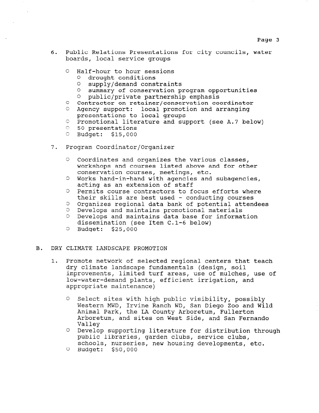- 6. Public Relations Presentations for city councils, water boards, local service groups
	- <sup>0</sup>Half-hour to hour sessions
		- <sup>0</sup>drought conditions
		- <sup>0</sup>supply/demand constraints
		- <sup>0</sup>summary of conservation program opportunities
		- 0 public/private partnership emphasis
	- <sup>C</sup>Contractor on retainer/conservation coordinator C Agency support: local promotion and arrang
	- presentations to local group
	- presentations to focal groups<br>© Promotional literature and support (see A.7 below
	- 0 50 presentations
	- O Budget: \$15,000
- 7. Program Coordinator/Organizer
	- $\circ$  Coordinates and organizes the various classes, workshops and courses listed above and for other conservation courses, meetings, etc.
	- '3 Works hand-in-hand with agencies and subagencies, acting as an extension of staff
	- 3 Permits course contractors to focus efforts where their skills are best used - conducting courses
	- 3 Organizes regional data bank of potential attendees
	- 3 Develops and maintains promotional materials
	- 3 Develops and maintains data base for information dissemination (see Item C.l-6 below)
	- 3 Budget: \$25,000

### B. DRY CLIMATE LANDSCAPE PROMOTION

- 1. Promote network of selected regional centers that teach dry climate landscape fundamentals (design, soil improvements, limited turf areas, use of mulches, use of low-water-demand plants, efficient irrigation, and appropriate maintenance)
	- 0 Select sites with high public visibility, possibly Western MWD, Irvine Ranch WD, San Diego Zoo and Wild MESCEIN RWD, ITAINE RANCH WD, BAN DIEGO 200 Antmal Fair, the DA County Alboretum, Fullerton Arboretum, and sites on West Side, and San Fernando Valley <sup>0</sup>Develop supporting literature for distribution through
	- pevelop supporting literature for distributi public libraries, garden clubs, service clubs, schools, nurseries, new housing developments, etc.
	- 0 Budget: \$50,000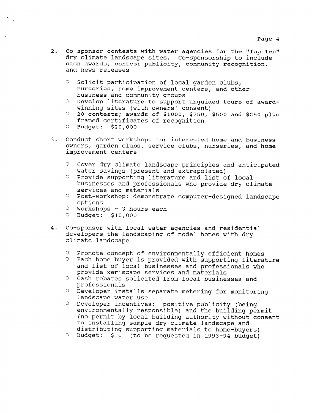- 2. Co-sponsor contests with water agencies for the "Top Ten" dry climate landscape sites. Co-sponsorship to include cash awards, contest publicity, community recognition, and news releases
	- O Solicit participation of local garden clubs, nurseries, home improvement centers, and other business and community groups
	- C Develop literature to support unguided tours of awardwinning sites (with owners' consent)
	- $C$  20 contests; awards of \$1000, \$750, \$500 and \$250 plus framed certificates of recognition
	- <sup>C</sup>Budget: \$20,000
- 3. Conduct short workshops for interested home and business owners, garden clubs, service clubs, nurseries, and home improvement centers
	- C Cover dry climate landscape principles and anticipated water savings (present and extrapolated)
	- <sup>C</sup>Provide supporting literature and list of local businesses and professionals who provide dry climate services and materials
	- <sup>C</sup>Post-workshop: demonstrate computer-designed landscape options
	- $C$  Workshops 3 hours each
	- <sup>C</sup>Budget: \$10,000
- 4. Co-sponsor with local water agencies and residential developers the landscaping of model homes with dry climate landscape
	- 0 Promote concept of environmentally efficient homes
	- <sup>0</sup>Each home buyer is provided with supporting literature and list of local businesses and professionals who provide xeriscape services and materials
	- <sup>0</sup>Cash rebates solicited from local businesses and professionals
	- <sup>0</sup>Developer installs separate metering for monitoring landscape water use
	- <sup>0</sup>Developer incentives: positive publicity (being environmentally responsible) and the building permit (no permit by local building authority without consent to installing sample dry climate landscape and distributing supporting materials to home-buyers)
	- 0 Budget: \$ 0 (to be requested in 1993-94 budget)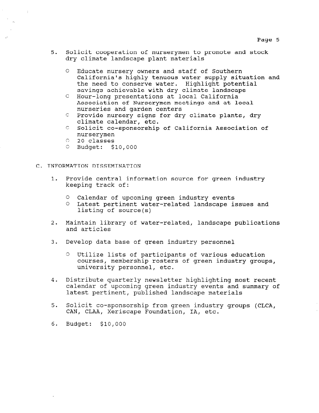- 5. Solicit cooperation of nurserymen to promote and stock dry climate landscape plant materials
	- <sup>0</sup>Educate nursery owners and staff of Southern California's highly tenuous water supply situation and the need to conserve water. Highlight potential savings achievable with dry climate landscape
	- C Hour-long presentations at local California Association of Nurserymen meetings and at local nurseries and garden centers
	- $C$  Provide nursery signs for dry climate plants, dry climate calendar, etc.
	- C Solicit co-sponsorship of California Association of nurserymen
	- 0 20 classes
	- 0 Budget: \$10,000

### C. INFORMATION DISSEMINATION

- 1. Provide central information source for green industry keeping track of:
	- <sup>0</sup>Calendar of upcoming green industry events
	- <sup>0</sup>Latest pertinent water-related landscape issues and listing of source(s)
- 2. Maintain library of water-related, landscape publications and articles
- 3. Develop data base of green industry personnel
	- 13 Utilize lists of participants of various education courses, membership rosters of green industry groups, university personnel, etc.
- 4. Distribute quarterly newsletter highlighting most recent  $\epsilon$  calendar of upcoming green industry events and summary of carenaar of apcoming green industry events a
- 5. Solicit co-sponsorship from green industry groups (CLCA, CAN, CLAA, Xeriscape Foundation, IA, etc.
- 6. Budget: \$10,000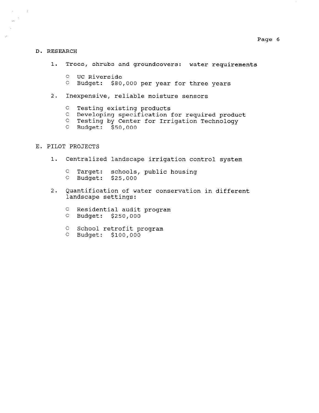### Page 6

#### D. RESEARCH

 $\sim 2^{\circ}$ 

 $\bar{\Delta}$ 

- 1. Trees, shrubs and groundcovers: water requirements
	- <sup>0</sup>UC Riverside
	- <sup>0</sup>Budget: \$80,000 per year for three years
- 2. Inexpensive, reliable moisture sensors
	- C Testing existing products
	- c Developing specification for required product
	- C Testing by Center for Irrigation Technology
	- c Budget: \$50,000

## E. PILOT PROJECTS

- 1. Centralized landscape irrigation control system
	- C Target: schools, public housing <sup>C</sup>Budget: \$25,000
- 2. Quantification of water conservation in different landscape settings:
	- C Residential audit program
	- c Budget: \$250,000
	- C School retrofit program
	- 0 Budget: \$100,000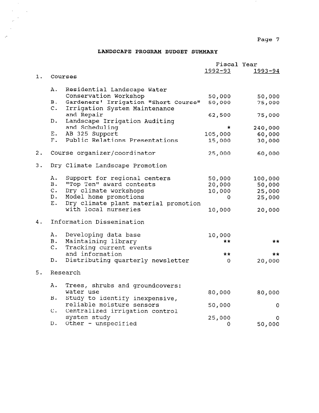Page 7

 $\epsilon$ 

# LANDSCAPE PROGRAM BUDGET SUMMARY

 $\sim$  $\mathcal{A}^{\text{max}}_{\text{max}}$  $\frac{1}{2} \frac{1}{2} \frac{1}{2} \frac{1}{2}$ 

 $\sim$  $\mathbb{R}^2$ 

|    |                           |                                                      | Fiscal Year |              |  |  |
|----|---------------------------|------------------------------------------------------|-------------|--------------|--|--|
|    |                           |                                                      | $1992 - 93$ | $1993 - 94$  |  |  |
| 1. |                           | Courses                                              |             |              |  |  |
|    | Α.                        |                                                      |             |              |  |  |
|    |                           | Residential Landscape Water<br>Conservation Workshop |             |              |  |  |
|    | <b>B</b> .                | Gardeners' Irrigation "Short Course"                 | 50,000      | 50,000       |  |  |
|    | c.                        | Irrigation System Maintenance                        | 50,000      | 75,000       |  |  |
|    |                           | and Repair                                           | 62,500      |              |  |  |
|    | D.                        | Landscape Irrigation Auditing                        |             | 75,000       |  |  |
|    |                           | and Scheduling                                       | $\star$     | 240,000      |  |  |
|    |                           | E. AB 325 Support                                    | 105,000     | 60,000       |  |  |
|    | F.                        | Public Relations Presentations                       | 15,000      | 30,000       |  |  |
|    |                           |                                                      |             |              |  |  |
| 2. |                           | Course organizer/coordinator                         | 25,000      | 60,000       |  |  |
|    |                           |                                                      |             |              |  |  |
| 3. |                           | Dry Climate Landscape Promotion                      |             |              |  |  |
|    | Α.                        | Support for regional centers                         | 50,000      | 100,000      |  |  |
|    | <b>B.</b>                 | "Top Ten" award contests                             | 20,000      | 50,000       |  |  |
|    | $C$ .                     | Dry climate workshops                                | 10,000      | 25,000       |  |  |
|    | D.                        | Model home promotions                                | 0           | 25,000       |  |  |
|    | E.                        | Dry climate plant material promotion                 |             |              |  |  |
|    |                           | with local nurseries                                 | 10,000      | 20,000       |  |  |
|    |                           |                                                      |             |              |  |  |
| 4. | Information Dissemination |                                                      |             |              |  |  |
|    | Α.                        | Developing data base                                 | 10,000      |              |  |  |
|    | <b>B</b> .                | Maintaining library                                  | **          | **           |  |  |
|    | $C$ .                     | Tracking current events                              |             |              |  |  |
|    |                           | and information                                      | **          | $\star\star$ |  |  |
|    | D.                        | Distributing quarterly newsletter                    | 0           | 20,000       |  |  |
| 5. |                           | Research                                             |             |              |  |  |
|    |                           |                                                      |             |              |  |  |
|    | Α.                        | Trees, shrubs and groundcovers:                      |             |              |  |  |
|    |                           | water use                                            | 80,000      | 80,000       |  |  |
|    | <b>B.</b>                 | Study to identify inexpensive,                       |             |              |  |  |
|    |                           | reliable moisture sensors                            | 50,000      | 0            |  |  |
|    | $C$ .                     | Centralized irrigation control                       |             |              |  |  |
|    |                           | system study                                         | 25,000      | 0            |  |  |
|    | $D$ .                     | Other - unspecified                                  | 0           | 50,000       |  |  |